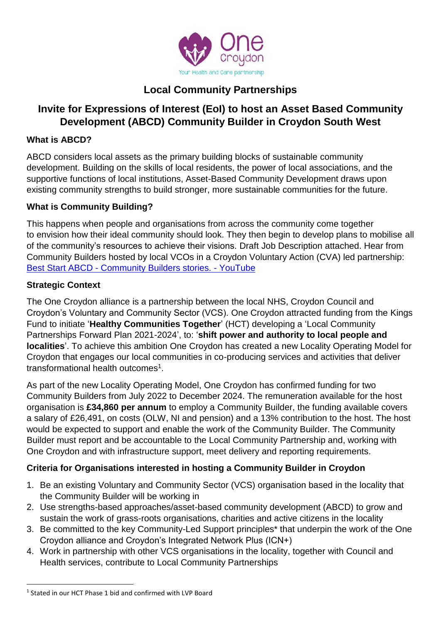

# **Local Community Partnerships**

# **Invite for Expressions of Interest (EoI) to host an Asset Based Community Development (ABCD) Community Builder in Croydon South West**

#### **What is ABCD?**

ABCD considers local assets as the primary building blocks of sustainable community development. Building on the skills of local residents, the power of local associations, and the supportive functions of local institutions, Asset-Based Community Development draws upon existing community strengths to build stronger, more sustainable communities for the future.

### **What is Community Building?**

This happens when people and organisations from across the community come together to envision how their ideal community should look. They then begin to develop plans to mobilise all of the community's resources to achieve their visions. Draft Job Description attached. Hear from Community Builders hosted by local VCOs in a Croydon Voluntary Action (CVA) led partnership: Best Start ABCD - [Community Builders stories. -](https://www.youtube.com/watch?v=hfrsd8COGKI&t=27s) YouTube

#### **Strategic Context**

The One Croydon alliance is a partnership between the local NHS, Croydon Council and Croydon's Voluntary and Community Sector (VCS). One Croydon attracted funding from the Kings Fund to initiate '**Healthy Communities Together**' (HCT) developing a 'Local Community Partnerships Forward Plan 2021-2024', to: '**shift power and authority to local people and localities**'. To achieve this ambition One Croydon has created a new Locality Operating Model for Croydon that engages our local communities in co-producing services and activities that deliver transformational health outcomes<sup>1</sup>.

As part of the new Locality Operating Model, One Croydon has confirmed funding for two Community Builders from July 2022 to December 2024. The remuneration available for the host organisation is **£34,860 per annum** to employ a Community Builder, the funding available covers a salary of £26,491, on costs (OLW, NI and pension) and a 13% contribution to the host. The host would be expected to support and enable the work of the Community Builder. The Community Builder must report and be accountable to the Local Community Partnership and, working with One Croydon and with infrastructure support, meet delivery and reporting requirements.

### **Criteria for Organisations interested in hosting a Community Builder in Croydon**

- 1. Be an existing Voluntary and Community Sector (VCS) organisation based in the locality that the Community Builder will be working in
- 2. Use strengths-based approaches/asset-based community development (ABCD) to grow and sustain the work of grass-roots organisations, charities and active citizens in the locality
- 3. Be committed to the key Community-Led Support principles\* that underpin the work of the One Croydon alliance and Croydon's Integrated Network Plus (ICN+)
- 4. Work in partnership with other VCS organisations in the locality, together with Council and Health services, contribute to Local Community Partnerships

**<sup>.</sup>** <sup>1</sup> Stated in our HCT Phase 1 bid and confirmed with LVP Board